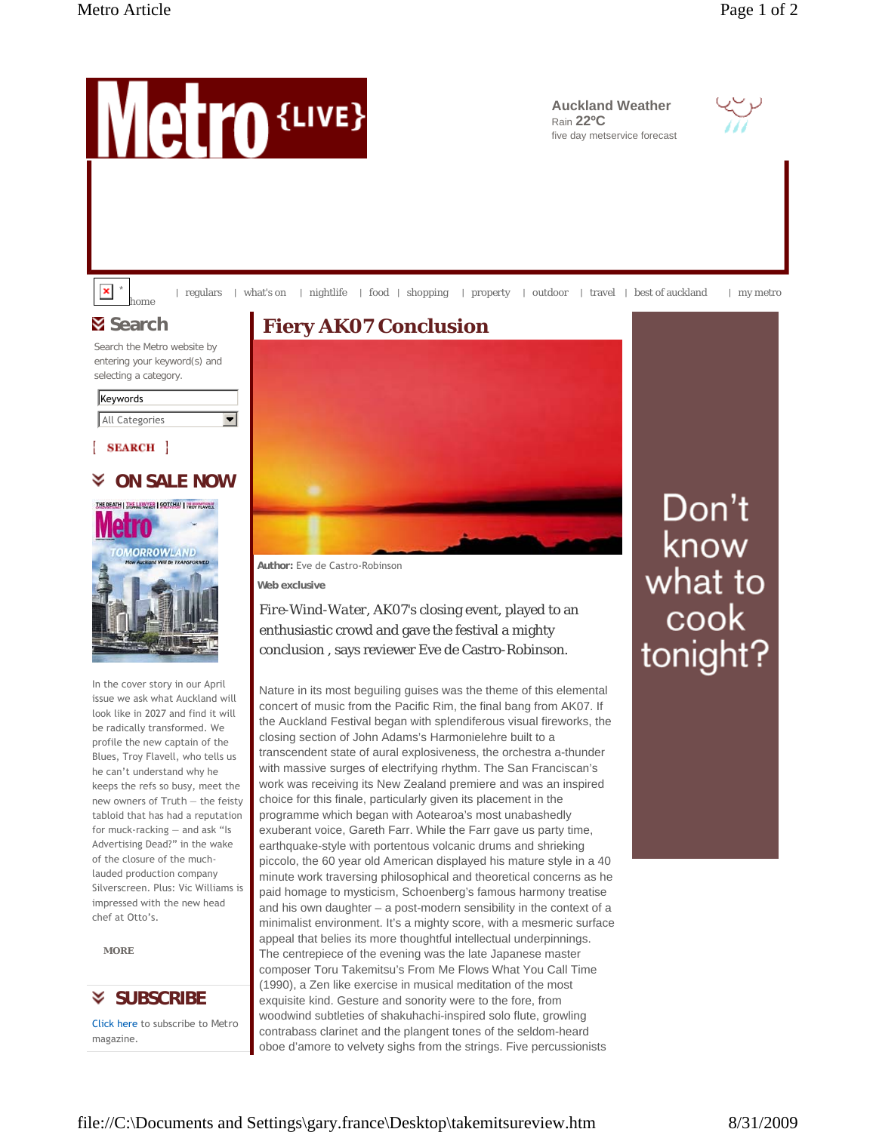

Click here to subscribe to *Metro* magazine.

contrabass clarinet and the plangent tones of the seldom-heard oboe d'amore to velvety sighs from the strings. Five percussionists